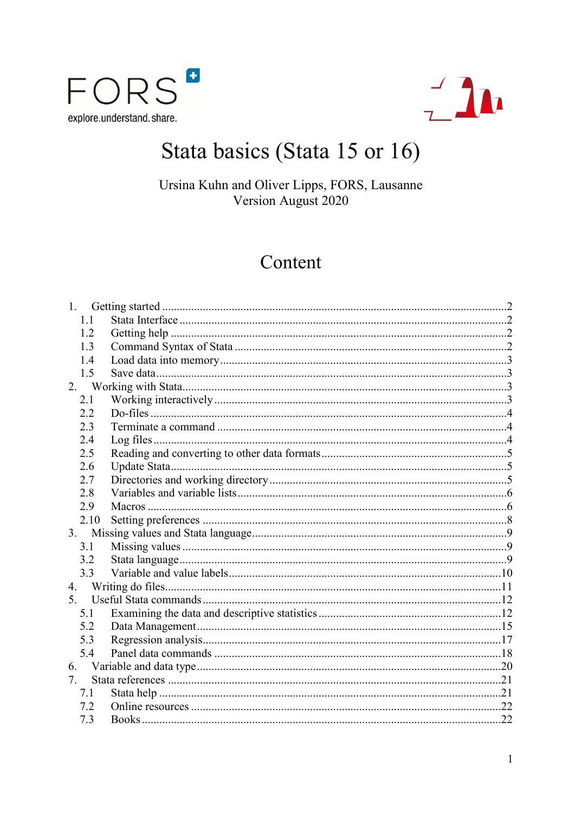



# Stata basics (Stata 15 or 16)

Ursina Kuhn and Oliver Lipps, FORS, Lausanne Version August 2020

## Content

| 1.   |  |
|------|--|
| 1.1  |  |
| 1.2  |  |
| 1.3  |  |
| 1.4  |  |
| 1.5  |  |
| 2.   |  |
| 2.1  |  |
| 2.2  |  |
| 2.3  |  |
| 2.4  |  |
| 2.5  |  |
| 2.6  |  |
| 2.7  |  |
| 2.8  |  |
| 2.9  |  |
| 2.10 |  |
| 3.   |  |
| 3.1  |  |
| 3.2  |  |
| 3.3  |  |
| 4.   |  |
| 5.   |  |
| 5.1  |  |
| 5.2  |  |
| 5.3  |  |
| 5.4  |  |
| 6.   |  |
| 7.   |  |
| 7.1  |  |
| 7.2  |  |
| 7.3  |  |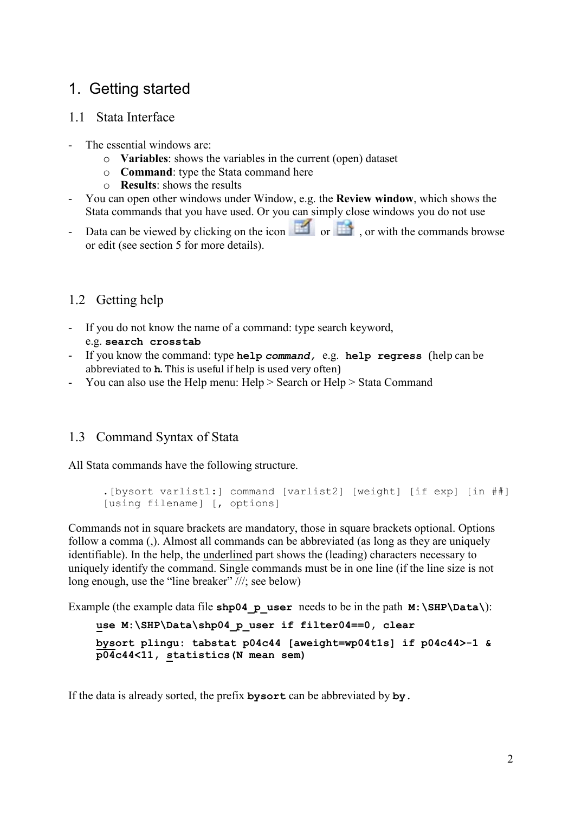## <span id="page-1-0"></span>1. Getting started

## <span id="page-1-1"></span>1.1 Stata Interface

- The essential windows are:
	- o **Variables**: shows the variables in the current (open) dataset
	- o **Command**: type the Stata command here
	- o **Results**: shows the results
- You can open other windows under Window, e.g. the **Review window**, which shows the Stata commands that you have used. Or you can simply close windows you do not use
- Data can be viewed by clicking on the icon  $\Box$  or  $\Box$ , or with the commands browse or edit (see section 5 for more details).

## <span id="page-1-2"></span>1.2 Getting help

- If you do not know the name of a command: type search keyword, e.g. **search crosstab**
- If you know the command: type **help** *command,* e.g. **help regress** (help can be abbreviated to **h**. This is useful if help is used very often)
- You can also use the Help menu: Help > Search or Help > Stata Command

## <span id="page-1-3"></span>1.3 Command Syntax of Stata

All Stata commands have the following structure.

```
.[bysort varlist1:] command [varlist2] [weight] [if exp] [in ##] 
[using filename] [, options]
```
Commands not in square brackets are mandatory, those in square brackets optional. Options follow a comma (,). Almost all commands can be abbreviated (as long as they are uniquely identifiable). In the help, the underlined part shows the (leading) characters necessary to uniquely identify the command. Single commands must be in one line (if the line size is not long enough, use the "line breaker" ///; see below)

Example (the example data file **shp04\_p\_user** needs to be in the path **M:\SHP\Data\**):

```
use M:\SHP\Data\shp04 p user if filter04==0, clear
```

```
bysort plingu: tabstat p04c44 [aweight=wp04t1s] if p04c44>-1 & 
p04c44<11, statistics(N mean sem)
```
If the data is already sorted, the prefix **bysort** can be abbreviated by **by.**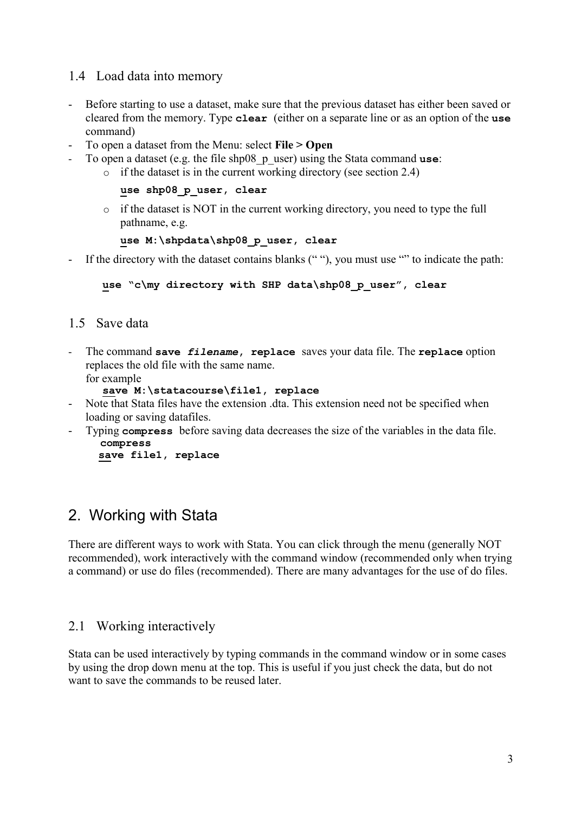## <span id="page-2-0"></span>1.4 Load data into memory

- Before starting to use a dataset, make sure that the previous dataset has either been saved or cleared from the memory. Type **clear** (either on a separate line or as an option of the **use** command)
- To open a dataset from the Menu: select **File > Open**
- To open a dataset (e.g. the file shp08\_p\_user) using the Stata command **use**:
	- $\circ$  if the dataset is in the current working directory (see section 2.4)

```
use shp08_p_user, clear
```
 $\circ$  if the dataset is NOT in the current working directory, you need to type the full pathname, e.g.

```
use M:\shpdata\shp08_p_user, clear
```
If the directory with the dataset contains blanks (""), you must use "" to indicate the path:

**use "c\my directory with SHP data\shp08\_p\_user", clear**

## <span id="page-2-1"></span>1.5 Save data

- The command **save** *filename***, replace** saves your data file. The **replace** option replaces the old file with the same name.

for example

```
save M:\statacourse\file1, replace
```
- Note that Stata files have the extension .dta. This extension need not be specified when loading or saving datafiles.
- Typing **compress** before saving data decreases the size of the variables in the data file. **compress**

```
 save file1, replace
```
## <span id="page-2-2"></span>2. Working with Stata

There are different ways to work with Stata. You can click through the menu (generally NOT recommended), work interactively with the command window (recommended only when trying a command) or use do files (recommended). There are many advantages for the use of do files.

## <span id="page-2-3"></span>2.1 Working interactively

Stata can be used interactively by typing commands in the command window or in some cases by using the drop down menu at the top. This is useful if you just check the data, but do not want to save the commands to be reused later.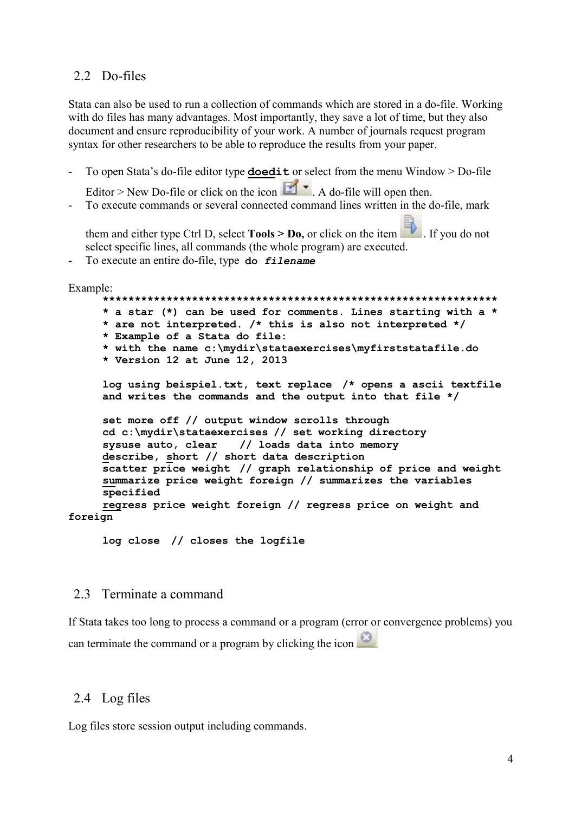### <span id="page-3-0"></span>2.2 Do-files

Stata can also be used to run a collection of commands which are stored in a do-file. Working with do files has many advantages. Most importantly, they save a lot of time, but they also document and ensure reproducibility of your work. A number of journals request program syntax for other researchers to be able to reproduce the results from your paper.

- To open Stata's do-file editor type **doedit** or select from the menu Window > Do-file

Editor > New Do-file or click on the icon  $\mathbb{E}$  . A do-file will open then.

To execute commands or several connected command lines written in the do-file, mark

them and either type Ctrl D, select **Tools > Do**, or click on the item . If you do not select specific lines, all commands (the whole program) are executed.

- To execute an entire do-file, type **do** *filename*

Example:

**\*\*\*\*\*\*\*\*\*\*\*\*\*\*\*\*\*\*\*\*\*\*\*\*\*\*\*\*\*\*\*\*\*\*\*\*\*\*\*\*\*\*\*\*\*\*\*\*\*\*\*\*\*\*\*\*\*\*\*\*\*\* \* a star (\*) can be used for comments. Lines starting with a \* \* are not interpreted. /\* this is also not interpreted \*/ \* Example of a Stata do file: \* with the name c:\mydir\stataexercises\myfirststatafile.do \* Version 12 at June 12, 2013 log using beispiel.txt, text replace /\* opens a ascii textfile and writes the commands and the output into that file \*/ set more off // output window scrolls through cd c:\mydir\stataexercises // set working directory sysuse auto, clear // loads data into memory describe, short // short data description scatter price weight // graph relationship of price and weight summarize price weight foreign // summarizes the variables specified regress price weight foreign // regress price on weight and foreign**

**log close // closes the logfile**

#### <span id="page-3-1"></span>2.3 Terminate a command

If Stata takes too long to process a command or a program (error or convergence problems) you can terminate the command or a program by clicking the icon

## <span id="page-3-2"></span>2.4 Log files

Log files store session output including commands.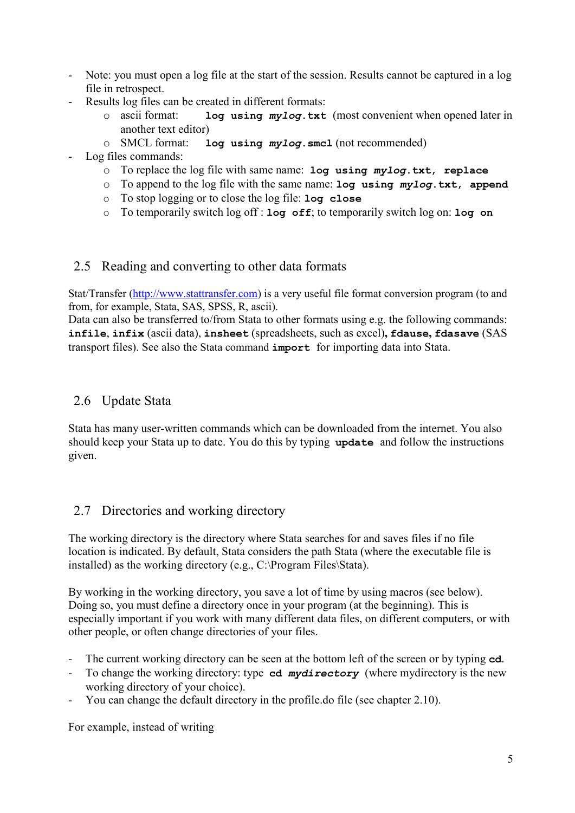- Note: you must open a log file at the start of the session. Results cannot be captured in a log file in retrospect.
- Results log files can be created in different formats:
	- o ascii format: **log using** *mylog***.txt** (most convenient when opened later in another text editor)
	- o SMCL format: **log using** *mylog***.smcl** (not recommended)
- Log files commands:
	- o To replace the log file with same name: **log using** *mylog***.txt**, **replace**
	- o To append to the log file with the same name: **log using** *mylog***.txt**, **append**
	- o To stop logging or to close the log file: **log close**
	- o To temporarily switch log off : **log off**; to temporarily switch log on: **log on**

## <span id="page-4-0"></span>2.5 Reading and converting to other data formats

Stat/Transfer (http://www.stattransfer.com) is a very useful file format conversion program (to and from, for example, Stata, SAS, SPSS, R, ascii).

Data can also be transferred to/from Stata to other formats using e.g. the following commands: **infile**, **infix** (ascii data), **insheet** (spreadsheets, such as excel)**, fdause, fdasave** (SAS transport files). See also the Stata command **import** for importing data into Stata.

## <span id="page-4-1"></span>2.6 Update Stata

Stata has many user-written commands which can be downloaded from the internet. You also should keep your Stata up to date. You do this by typing **update** and follow the instructions given.

## <span id="page-4-2"></span>2.7 Directories and working directory

The working directory is the directory where Stata searches for and saves files if no file location is indicated. By default, Stata considers the path Stata (where the executable file is installed) as the working directory (e.g., C:\Program Files\Stata).

By working in the working directory, you save a lot of time by using macros (see below). Doing so, you must define a directory once in your program (at the beginning). This is especially important if you work with many different data files, on different computers, or with other people, or often change directories of your files.

- The current working directory can be seen at the bottom left of the screen or by typing **cd**.
- To change the working directory: type **cd** *mydirectory* (where mydirectory is the new working directory of your choice).
- You can change the default directory in the profile.do file (see chapter [2.10\)](#page-7-1).

For example, instead of writing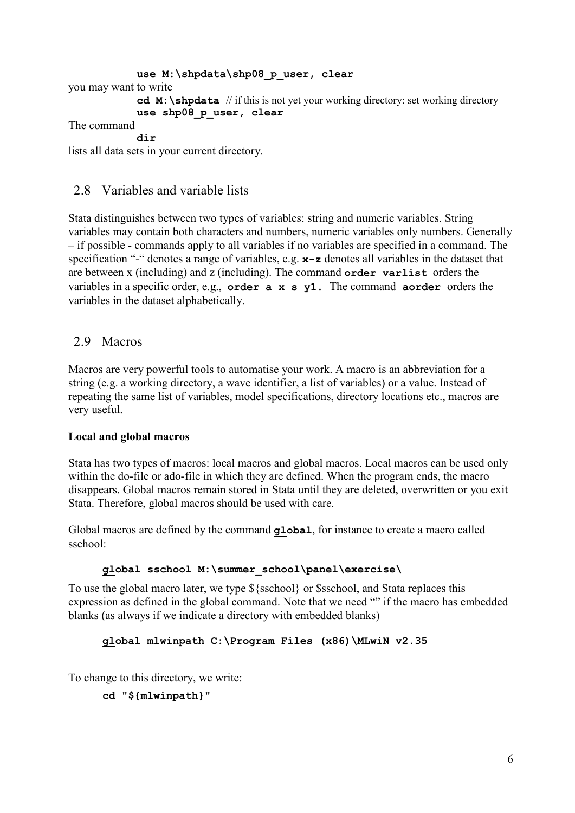```
use M:\shpdata\shp08_p_user, clear
you may want to write
             cd M:\shpdata // if this is not yet your working directory: set working directory
             use shp08_p_user, clear
The command
             dir
lists all data sets in your current directory.
```
## <span id="page-5-0"></span>2.8 Variables and variable lists

Stata distinguishes between two types of variables: string and numeric variables. String variables may contain both characters and numbers, numeric variables only numbers. Generally – if possible - commands apply to all variables if no variables are specified in a command. The specification "-" denotes a range of variables, e.g. **x-z** denotes all variables in the dataset that are between x (including) and z (including). The command **order varlist** orders the variables in a specific order, e.g., **order a x s y1.** The command **aorder** orders the variables in the dataset alphabetically.

## <span id="page-5-1"></span>2.9 Macros

Macros are very powerful tools to automatise your work. A macro is an abbreviation for a string (e.g. a working directory, a wave identifier, a list of variables) or a value. Instead of repeating the same list of variables, model specifications, directory locations etc., macros are very useful.

#### **Local and global macros**

Stata has two types of macros: local macros and global macros. Local macros can be used only within the do-file or ado-file in which they are defined. When the program ends, the macro disappears. Global macros remain stored in Stata until they are deleted, overwritten or you exit Stata. Therefore, global macros should be used with care.

Global macros are defined by the command **global**, for instance to create a macro called sschool:

#### **global sschool M:\summer\_school\panel\exercise\**

To use the global macro later, we type \${sschool} or \$sschool, and Stata replaces this expression as defined in the global command. Note that we need "" if the macro has embedded blanks (as always if we indicate a directory with embedded blanks)

#### **global mlwinpath C:\Program Files (x86)\MLwiN v2.35**

To change to this directory, we write:

```
cd "${mlwinpath}"
```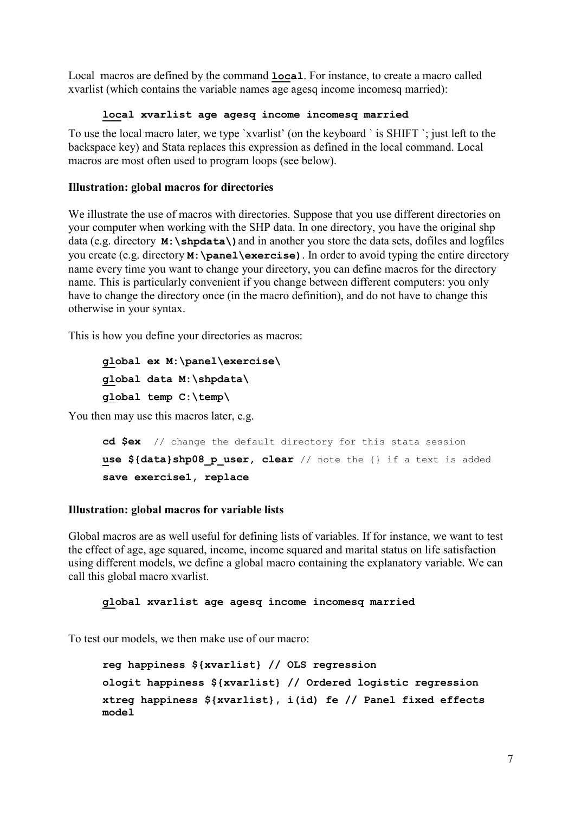Local macros are defined by the command **local**. For instance, to create a macro called xvarlist (which contains the variable names age agesq income incomesq married):

#### **local xvarlist age agesq income incomesq married**

To use the local macro later, we type `xvarlist' (on the keyboard ` is SHIFT `; just left to the backspace key) and Stata replaces this expression as defined in the local command. Local macros are most often used to program loops (see below).

## **Illustration: global macros for directories**

We illustrate the use of macros with directories. Suppose that you use different directories on your computer when working with the SHP data. In one directory, you have the original shp data (e.g. directory **M:\shpdata\)**and in another you store the data sets, dofiles and logfiles you create (e.g. directory **M:\panel\exercise)**. In order to avoid typing the entire directory name every time you want to change your directory, you can define macros for the directory name. This is particularly convenient if you change between different computers: you only have to change the directory once (in the macro definition), and do not have to change this otherwise in your syntax.

This is how you define your directories as macros:

```
global ex M:\panel\exercise\
global data M:\shpdata\
global temp C:\temp\
```
You then may use this macros later, e.g.

```
cd $ex // change the default directory for this stata session
use ${data}shp08 p user, clear // note the {} if a text is added
save exercise1, replace
```
## **Illustration: global macros for variable lists**

Global macros are as well useful for defining lists of variables. If for instance, we want to test the effect of age, age squared, income, income squared and marital status on life satisfaction using different models, we define a global macro containing the explanatory variable. We can call this global macro xvarlist.

#### **global xvarlist age agesq income incomesq married**

To test our models, we then make use of our macro:

```
reg happiness ${xvarlist} // OLS regression
ologit happiness ${xvarlist} // Ordered logistic regression
xtreg happiness ${xvarlist}, i(id) fe // Panel fixed effects 
model
```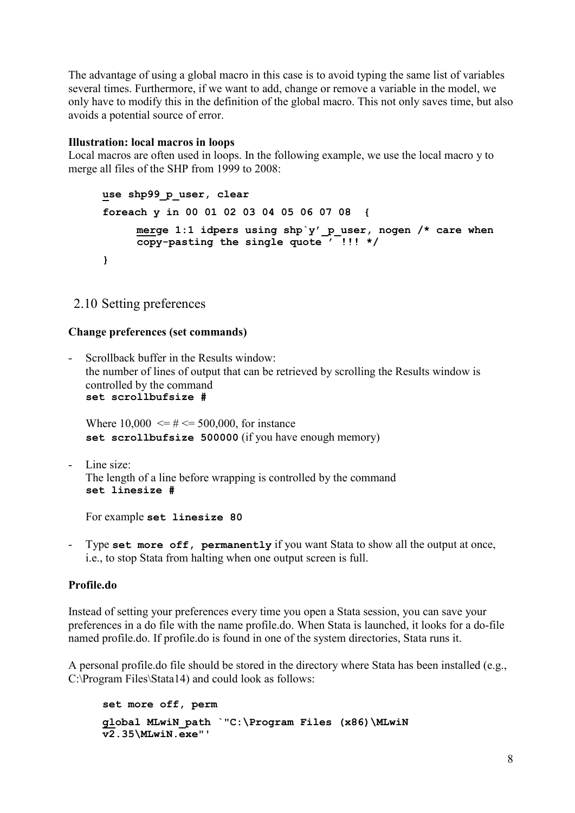The advantage of using a global macro in this case is to avoid typing the same list of variables several times. Furthermore, if we want to add, change or remove a variable in the model, we only have to modify this in the definition of the global macro. This not only saves time, but also avoids a potential source of error.

#### **Illustration: local macros in loops**

Local macros are often used in loops. In the following example, we use the local macro y to merge all files of the SHP from 1999 to 2008:

```
use shp99_p_user, clear
foreach y in 00 01 02 03 04 05 06 07 08 {
     merge 1:1 idpers using shp`y'_p_user, nogen /* care when 
     copy-pasting the single quote ' !!! */
}
```
## <span id="page-7-1"></span><span id="page-7-0"></span>2.10 Setting preferences

#### **Change preferences (set commands)**

Scrollback buffer in the Results window: the number of lines of output that can be retrieved by scrolling the Results window is controlled by the command **set scrollbufsize #**

Where  $10,000 \leq \# \leq 500,000$ , for instance **set scrollbufsize 500000** (if you have enough memory)

Line size: The length of a line before wrapping is controlled by the command **set linesize #** 

For example **set linesize 80**

- Type **set more off, permanently** if you want Stata to show all the output at once, i.e., to stop Stata from halting when one output screen is full.

## **Profile.do**

Instead of setting your preferences every time you open a Stata session, you can save your preferences in a do file with the name profile.do. When Stata is launched, it looks for a do-file named profile.do. If profile.do is found in one of the system directories, Stata runs it.

A personal profile.do file should be stored in the directory where Stata has been installed (e.g., C:\Program Files\Stata14) and could look as follows:

```
set more off, perm
global MLwiN_path `"C:\Program Files (x86)\MLwiN 
v2.35\MLwiN.exe"'
```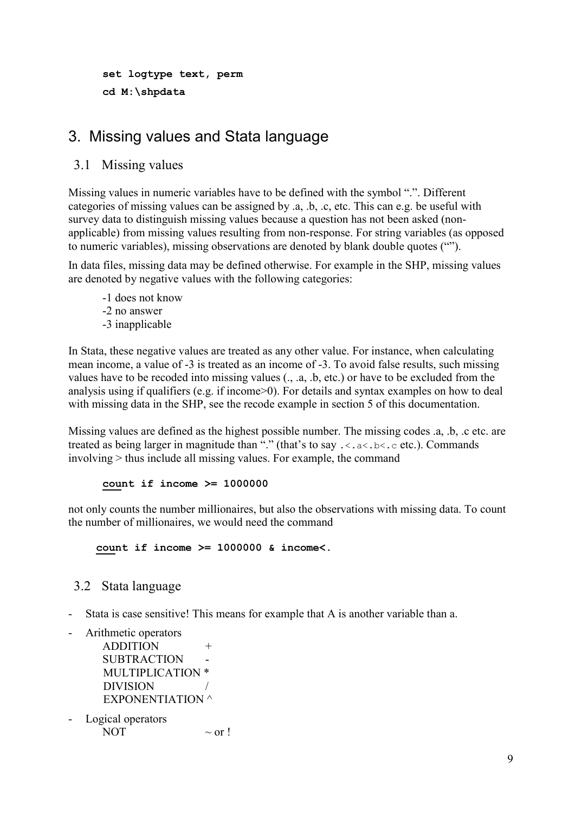```
set logtype text, perm
cd M:\shpdata
```
## <span id="page-8-0"></span>3. Missing values and Stata language

<span id="page-8-1"></span>3.1 Missing values

Missing values in numeric variables have to be defined with the symbol ".". Different categories of missing values can be assigned by .a, .b, .c, etc. This can e.g. be useful with survey data to distinguish missing values because a question has not been asked (nonapplicable) from missing values resulting from non-response. For string variables (as opposed to numeric variables), missing observations are denoted by blank double quotes ("").

In data files, missing data may be defined otherwise. For example in the SHP, missing values are denoted by negative values with the following categories:

- -1 does not know -2 no answer
- -3 inapplicable

In Stata, these negative values are treated as any other value. For instance, when calculating mean income, a value of -3 is treated as an income of -3. To avoid false results, such missing values have to be recoded into missing values (., .a, .b, etc.) or have to be excluded from the analysis using if qualifiers (e.g. if income>0). For details and syntax examples on how to deal with missing data in the SHP, see the recode example in section 5 of this documentation.

Missing values are defined as the highest possible number. The missing codes .a, .b, .c etc. are treated as being larger in magnitude than "." (that's to say  $\ldots$  a $\lt$ . a $\lt$ .  $\lt$ .  $\lt$  etc.). Commands involving > thus include all missing values. For example, the command

#### **count if income >= 1000000**

not only counts the number millionaires, but also the observations with missing data. To count the number of millionaires, we would need the command

**count if income >= 1000000 & income<.**

## <span id="page-8-2"></span>3.2 Stata language

Stata is case sensitive! This means for example that A is another variable than a.

- Arithmetic operators

```
ADDITION +
SUBTRACTION
MULTIPLICATION *
DIVISION
EXPONENTIATION ^
```
Logical operators NOT  $\sim$  or !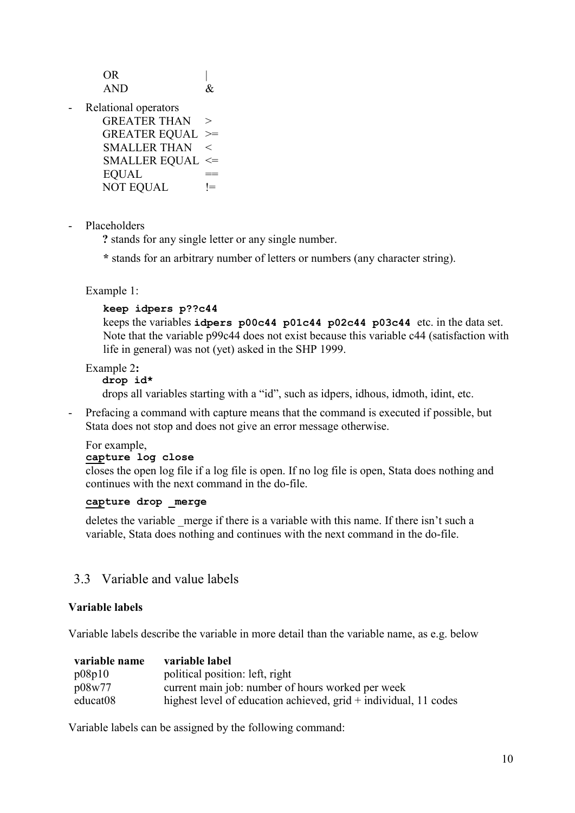OR |  $AND$  &

Relational operators

| <b>GREATER THAN</b> | $\gt$   |
|---------------------|---------|
| GREATER EQUAL >=    |         |
| <b>SMALLER THAN</b> | $\,<\,$ |
| SMALLER EQUAL $\le$ |         |
| <b>EQUAL</b>        |         |
| <b>NOT EQUAL</b>    | $l =$   |

- Placeholders

**?** stands for any single letter or any single number.

**\*** stands for an arbitrary number of letters or numbers (any character string).

Example 1:

#### **keep idpers p??c44**

keeps the variables **idpers p00c44 p01c44 p02c44 p03c44** etc. in the data set. Note that the variable p99c44 does not exist because this variable c44 (satisfaction with life in general) was not (yet) asked in the SHP 1999.

Example 2**:** 

#### **drop id\***

drops all variables starting with a "id", such as idpers, idhous, idmoth, idint, etc.

Prefacing a command with capture means that the command is executed if possible, but Stata does not stop and does not give an error message otherwise.

#### For example,

#### **capture log close**

closes the open log file if a log file is open. If no log file is open, Stata does nothing and continues with the next command in the do-file.

#### **capture drop \_merge**

deletes the variable merge if there is a variable with this name. If there isn't such a variable, Stata does nothing and continues with the next command in the do-file.

## <span id="page-9-0"></span>3.3 Variable and value labels

#### **Variable labels**

Variable labels describe the variable in more detail than the variable name, as e.g. below

| variable name | variable label                                                     |
|---------------|--------------------------------------------------------------------|
| p08p10        | political position: left, right                                    |
| p08w77        | current main job: number of hours worked per week                  |
| educat08      | highest level of education achieved, $grid + individual, 11$ codes |

Variable labels can be assigned by the following command: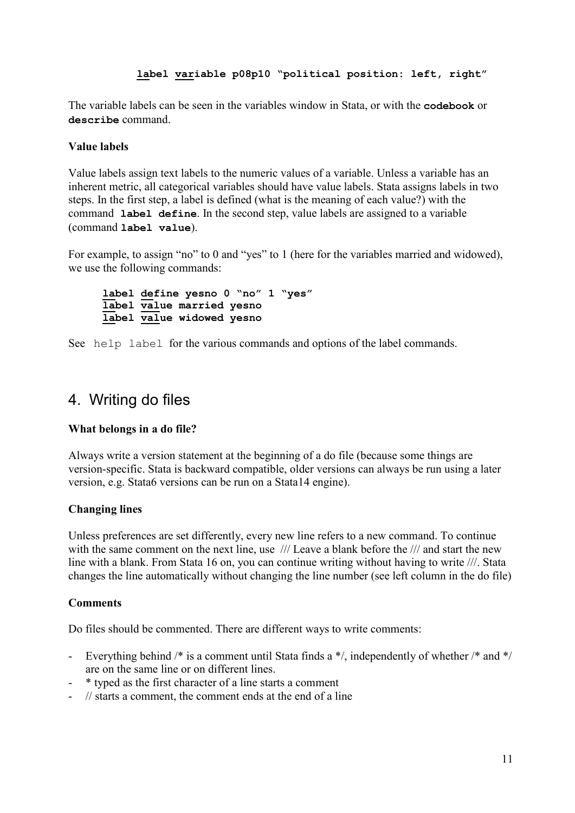#### **label variable p08p10 "political position: left, right"**

The variable labels can be seen in the variables window in Stata, or with the **codebook** or **describe** command.

#### **Value labels**

Value labels assign text labels to the numeric values of a variable. Unless a variable has an inherent metric, all categorical variables should have value labels. Stata assigns labels in two steps. In the first step, a label is defined (what is the meaning of each value?) with the command **label define**. In the second step, value labels are assigned to a variable (command **label value**).

For example, to assign "no" to 0 and "yes" to 1 (here for the variables married and widowed), we use the following commands:

```
label define yesno 0 "no" 1 "yes"
label value married yesno
label value widowed yesno
```
See help label for the various commands and options of the label commands.

## <span id="page-10-0"></span>4. Writing do files

#### **What belongs in a do file?**

Always write a version statement at the beginning of a do file (because some things are version-specific. Stata is backward compatible, older versions can always be run using a later version, e.g. Stata6 versions can be run on a Stata14 engine).

#### **Changing lines**

Unless preferences are set differently, every new line refers to a new command. To continue with the same comment on the next line, use  $\frac{1}{1}$  Leave a blank before the  $\frac{1}{1}$  and start the new line with a blank. From Stata 16 on, you can continue writing without having to write ///. Stata changes the line automatically without changing the line number (see left column in the do file)

#### **Comments**

Do files should be commented. There are different ways to write comments:

- Everything behind /\* is a comment until Stata finds a \*/, independently of whether /\* and \*/ are on the same line or on different lines.
- \* typed as the first character of a line starts a comment
- // starts a comment, the comment ends at the end of a line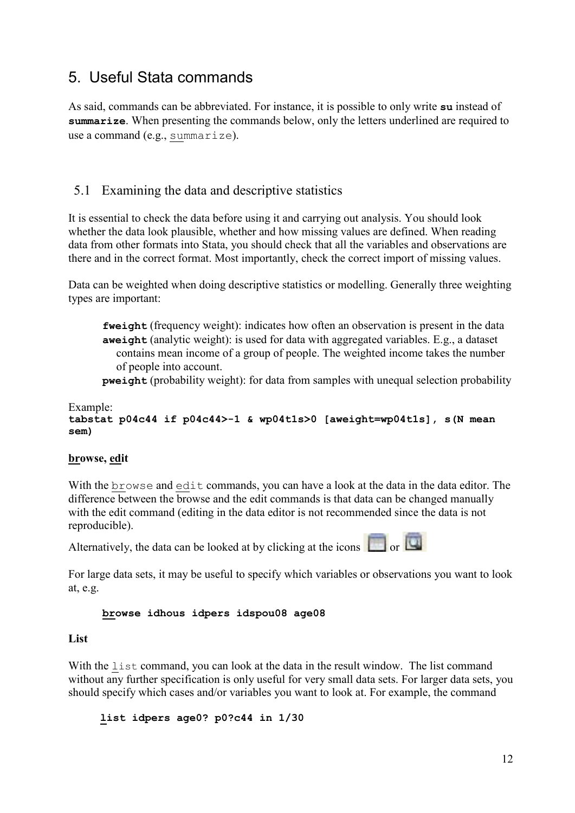## <span id="page-11-0"></span>5. Useful Stata commands

As said, commands can be abbreviated. For instance, it is possible to only write **su** instead of **summarize**. When presenting the commands below, only the letters underlined are required to use a command (e.g., summarize).

## <span id="page-11-1"></span>5.1 Examining the data and descriptive statistics

It is essential to check the data before using it and carrying out analysis. You should look whether the data look plausible, whether and how missing values are defined. When reading data from other formats into Stata, you should check that all the variables and observations are there and in the correct format. Most importantly, check the correct import of missing values.

Data can be weighted when doing descriptive statistics or modelling. Generally three weighting types are important:

**fweight** (frequency weight): indicates how often an observation is present in the data **aweight** (analytic weight): is used for data with aggregated variables. E.g., a dataset contains mean income of a group of people. The weighted income takes the number of people into account.

**pweight** (probability weight): for data from samples with unequal selection probability

#### Example: **tabstat p04c44 if p04c44>-1 & wp04t1s>0 [aweight=wp04t1s], s(N mean sem)**

#### **browse, edit**

With the browse and edit commands, you can have a look at the data in the data editor. The difference between the browse and the edit commands is that data can be changed manually with the edit command (editing in the data editor is not recommended since the data is not reproducible).

Alternatively, the data can be looked at by clicking at the icons  $\Box$  or  $\Box$ 

For large data sets, it may be useful to specify which variables or observations you want to look at, e.g.

#### **browse idhous idpers idspou08 age08**

#### **List**

With the list command, you can look at the data in the result window. The list command without any further specification is only useful for very small data sets. For larger data sets, you should specify which cases and/or variables you want to look at. For example, the command

**list idpers age0? p0?c44 in 1/30**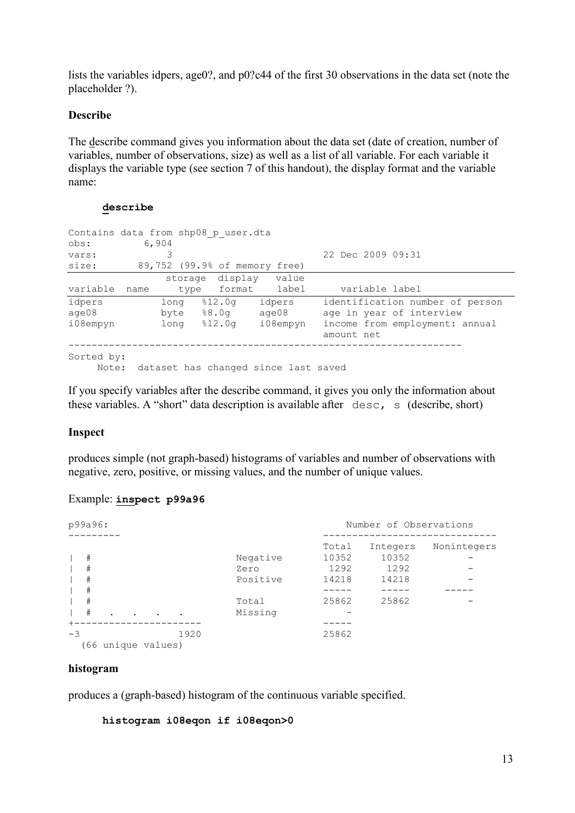lists the variables idpers, age0?, and p0?c44 of the first 30 observations in the data set (note the placeholder ?).

#### **Describe**

The describe command gives you information about the data set (date of creation, number of variables, number of observations, size) as well as a list of all variable. For each variable it displays the variable type (see section 7 of this handout), the display format and the variable name:

#### **describe**

| obs:<br>vars:<br>size: |      | 6,904<br>3 | Contains data from shp08 p user.dta | 89,752 (99.9% of memory free)        | 22 Dec 2009 09:31                            |
|------------------------|------|------------|-------------------------------------|--------------------------------------|----------------------------------------------|
|                        |      |            |                                     | storage display value                |                                              |
| variable               | name | type       |                                     | format label                         | variable label                               |
| idpers                 |      | long       | 812.0q                              | idpers                               | identification number of person              |
| aqe08                  |      |            | byte $88.0q$                        | age08                                | age in year of interview                     |
| i08empyn               |      | long       | %12.0a                              | i08empyn                             | income from employment: annual<br>amount net |
| Sorted by:<br>Note:    |      |            |                                     | dataset has changed since last saved |                                              |

If you specify variables after the describe command, it gives you only the information about these variables. A "short" data description is available after desc, s (describe, short)

## **Inspect**

produces simple (not graph-based) histograms of variables and number of observations with negative, zero, positive, or missing values, and the number of unique values.

#### Example: **inspect p99a96**

| p99a96:                  |                    |      |                              | Number of Observations          |                                    |             |  |  |
|--------------------------|--------------------|------|------------------------------|---------------------------------|------------------------------------|-------------|--|--|
| $\#$<br>#<br>#           |                    |      | Negative<br>Zero<br>Positive | Total<br>10352<br>1292<br>14218 | Integers<br>10352<br>1292<br>14218 | Nonintegers |  |  |
| #<br>#<br>#<br>$\bullet$ |                    |      | Total<br>Missing             | 25862                           | 25862                              |             |  |  |
| $-3$                     | (66 unique values) | 1920 |                              | 25862                           |                                    |             |  |  |

#### **histogram**

produces a (graph-based) histogram of the continuous variable specified.

**histogram i08eqon if i08eqon>0**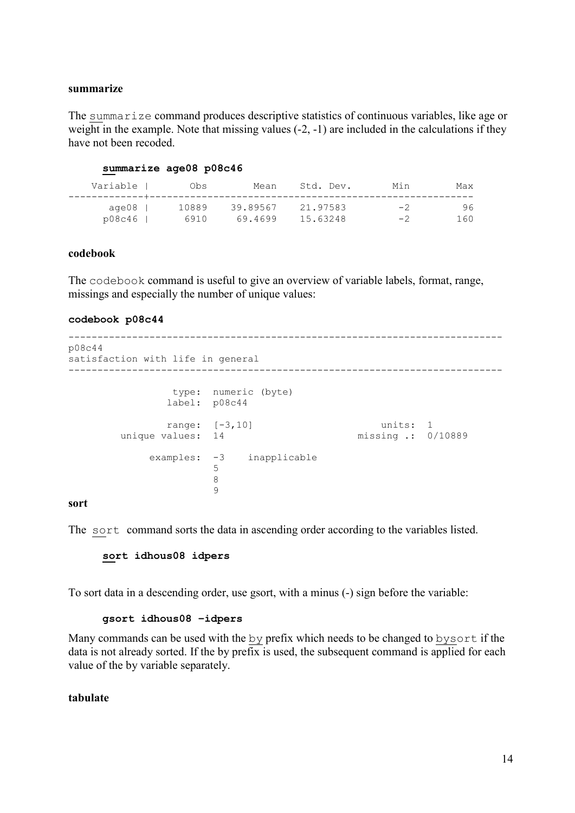#### **summarize**

The summarize command produces descriptive statistics of continuous variables, like age or weight in the example. Note that missing values  $(-2, -1)$  are included in the calculations if they have not been recoded.

#### **summarize age08 p08c46**

| Variable | Obs   | Mean     | Std. Dev. | Min  | Max |
|----------|-------|----------|-----------|------|-----|
| age08    | 10889 | 39.89567 | 21.97583  | $-2$ | 96  |
| p08c46   | 6910  | 69.4699  | 15.63248  | $-2$ | 160 |

#### **codebook**

The codebook command is useful to give an overview of variable labels, format, range, missings and especially the number of unique values:

#### **codebook p08c44**

```
---------------------------------------------------------------------------
p08c44 
satisfaction with life in general
                    ---------------------------------------------------------------------------
                             type: numeric (byte)
                            label: p08c44
              range: [-3,10] units: 1<br>unique values: 14 missing : 0/
                                                                              missing .: 0/10889
                      examples: -3 inapplicable
\sim 5 \sim 5 \sim 5 \sim 5 \sim 5 \sim 5 \sim 5 \sim 5 \sim 5 \sim 5 \sim 5 \sim 5 \sim 5 \sim 5 \sim 5 \sim 5 \sim 5 \sim 5 \sim 5 \sim 5 \sim 5 \sim 5 \sim 5 \sim 5 \sim 5 \sim 5 \sim 5 \sim 5 \sim 5 \sim 5 \sim 5 \sim8 
                                        \mathsf{Q}
```
#### **sort**

The sort command sorts the data in ascending order according to the variables listed.

#### **sort idhous08 idpers**

To sort data in a descending order, use gsort, with a minus (-) sign before the variable:

#### **gsort idhous08 –idpers**

Many commands can be used with the by prefix which needs to be changed to bysort if the data is not already sorted. If the by prefix is used, the subsequent command is applied for each value of the by variable separately.

#### **tabulate**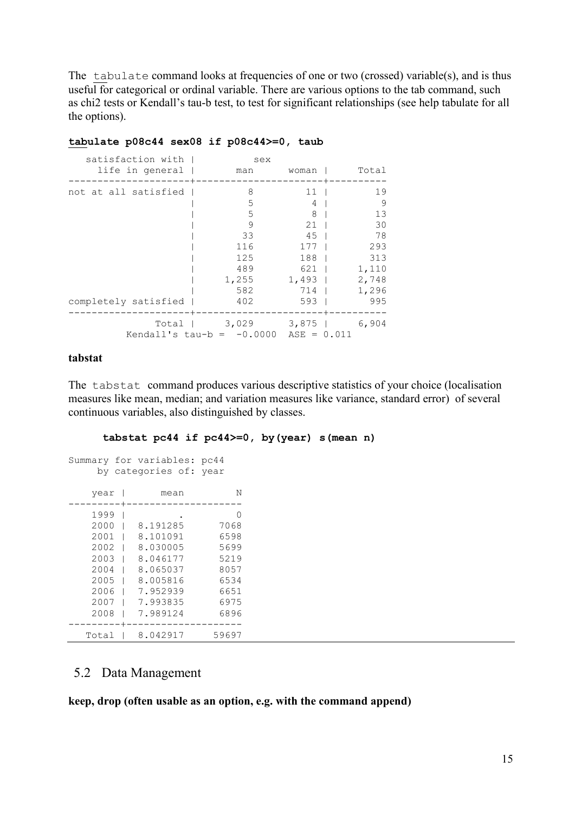The tabulate command looks at frequencies of one or two (crossed) variable(s), and is thus useful for categorical or ordinal variable. There are various options to the tab command, such as chi2 tests or Kendall's tau-b test, to test for significant relationships (see help tabulate for all the options).

#### **tabulate p08c44 sex08 if p08c44>=0, taub**

| satisfaction with    | sex                         |               |       |  |
|----------------------|-----------------------------|---------------|-------|--|
| life in general      | man                         | woman         | Total |  |
| not at all satisfied | 8                           | 11            | 19    |  |
|                      | 5                           | 4             | -9    |  |
|                      | 5                           | 8             | 13    |  |
|                      | 9                           | 21            | 30    |  |
|                      | 33                          | 45            | 78    |  |
|                      | 116                         | 177           | 293   |  |
|                      | 125                         | 188           | 313   |  |
|                      | 489                         | 621           | 1,110 |  |
|                      | 1,255                       | $1,493$       | 2,748 |  |
|                      | 582                         | 714 I         | 1,296 |  |
| completely satisfied | 402                         | 593           | 995   |  |
|                      | Total   3,029 3,875         |               | 6,904 |  |
|                      | Kendall's tau-b = $-0.0000$ | $ASE = 0.011$ |       |  |

#### **tabstat**

The tabstat command produces various descriptive statistics of your choice (localisation measures like mean, median; and variation measures like variance, standard error) of several continuous variables, also distinguished by classes.

#### **tabstat pc44 if pc44>=0, by(year) s(mean n)**

|       | Summary for variables: pc44 |       |
|-------|-----------------------------|-------|
|       | by categories of: year      |       |
|       |                             |       |
| year  | mean                        | Ν     |
|       |                             |       |
| 1999  |                             | 0     |
| 2000  | 8.191285                    | 7068  |
| 2001  | 8.101091                    | 6598  |
| 2002  | 8.030005                    | 5699  |
| 2003  | 8.046177                    | 5219  |
| 2004  | 8.065037                    | 8057  |
| 2005  | 8.005816                    | 6534  |
| 2006  | 7.952939                    | 6651  |
| 2007  | 7.993835                    | 6975  |
| 2008  | 7.989124                    | 6896  |
|       |                             |       |
| Total | 8.042917                    | 59697 |

## <span id="page-14-0"></span>5.2 Data Management

**keep, drop (often usable as an option, e.g. with the command append)**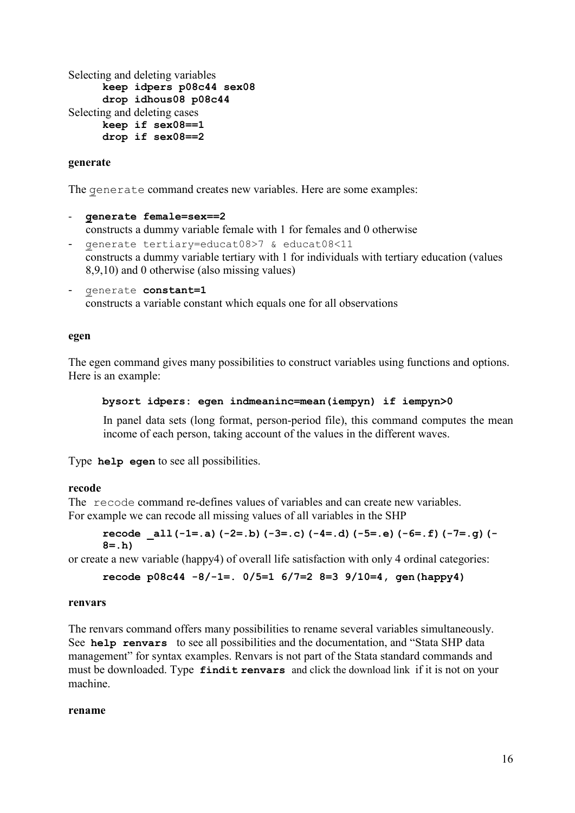Selecting and deleting variables **keep idpers p08c44 sex08 drop idhous08 p08c44** Selecting and deleting cases **keep if sex08==1 drop if sex08==2**

#### **generate**

The generate command creates new variables. Here are some examples:

#### - **generate female=sex==2**  constructs a dummy variable female with 1 for females and 0 otherwise

- generate tertiary=educat08>7 & educat08<11 constructs a dummy variable tertiary with 1 for individuals with tertiary education (values 8,9,10) and 0 otherwise (also missing values)
- generate **constant=1** constructs a variable constant which equals one for all observations

#### **egen**

The egen command gives many possibilities to construct variables using functions and options. Here is an example:

```
bysort idpers: egen indmeaninc=mean(iempyn) if iempyn>0
```
In panel data sets (long format, person-period file), this command computes the mean income of each person, taking account of the values in the different waves.

Type **help egen** to see all possibilities.

#### **recode**

The recode command re-defines values of variables and can create new variables. For example we can recode all missing values of all variables in the SHP

```
recode _all(-1=.a)(-2=.b)(-3=.c)(-4=.d)(-5=.e)(-6=.f)(-7=.g)(-
8=.h)
```
or create a new variable (happy4) of overall life satisfaction with only 4 ordinal categories:

```
recode p08c44 -8/-1=. 0/5=1 6/7=2 8=3 9/10=4, gen(happy4)
```
#### **renvars**

The renvars command offers many possibilities to rename several variables simultaneously. See **help renvars** to see all possibilities and the documentation, and "Stata SHP data management" for syntax examples. Renvars is not part of the Stata standard commands and must be downloaded. Type **findit renvars** and click the download link if it is not on your machine.

#### **rename**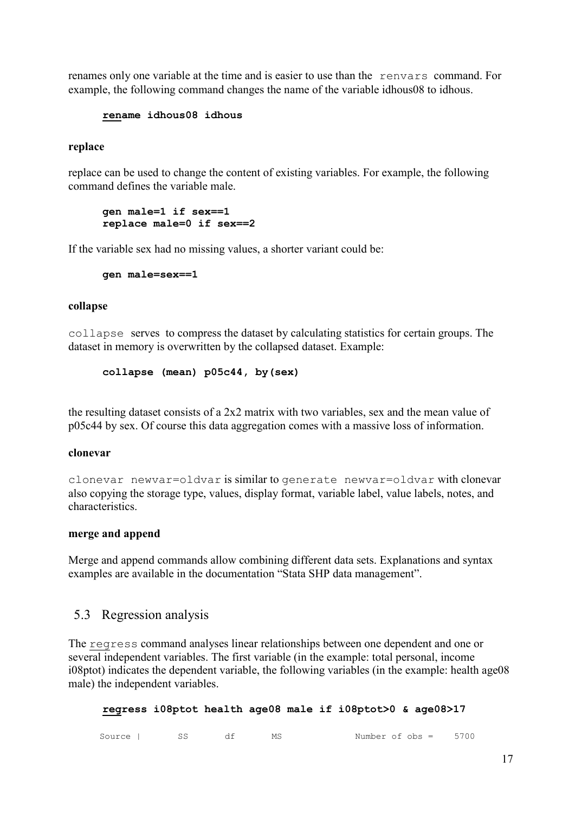renames only one variable at the time and is easier to use than the renvars command. For example, the following command changes the name of the variable idhous08 to idhous.

#### **rename idhous08 idhous**

#### **replace**

replace can be used to change the content of existing variables. For example, the following command defines the variable male.

#### **gen male=1 if sex==1 replace male=0 if sex==2**

If the variable sex had no missing values, a shorter variant could be:

```
gen male=sex==1
```
#### **collapse**

collapse serves to compress the dataset by calculating statistics for certain groups. The dataset in memory is overwritten by the collapsed dataset. Example:

**collapse (mean) p05c44, by(sex)**

the resulting dataset consists of a 2x2 matrix with two variables, sex and the mean value of p05c44 by sex. Of course this data aggregation comes with a massive loss of information.

#### **clonevar**

clonevar newvar=oldvar is similar to generate newvar=oldvar with clonevar also copying the storage type, values, display format, variable label, value labels, notes, and characteristics.

#### **merge and append**

Merge and append commands allow combining different data sets. Explanations and syntax examples are available in the documentation "Stata SHP data management".

## <span id="page-16-0"></span>5.3 Regression analysis

The regress command analyses linear relationships between one dependent and one or several independent variables. The first variable (in the example: total personal, income i08ptot) indicates the dependent variable, the following variables (in the example: health age08 male) the independent variables.

**regress i08ptot health age08 male if i08ptot>0 & age08>17** 

| Source |  |  | МŞ | Number of obs = |  | 5700 |  |
|--------|--|--|----|-----------------|--|------|--|
|--------|--|--|----|-----------------|--|------|--|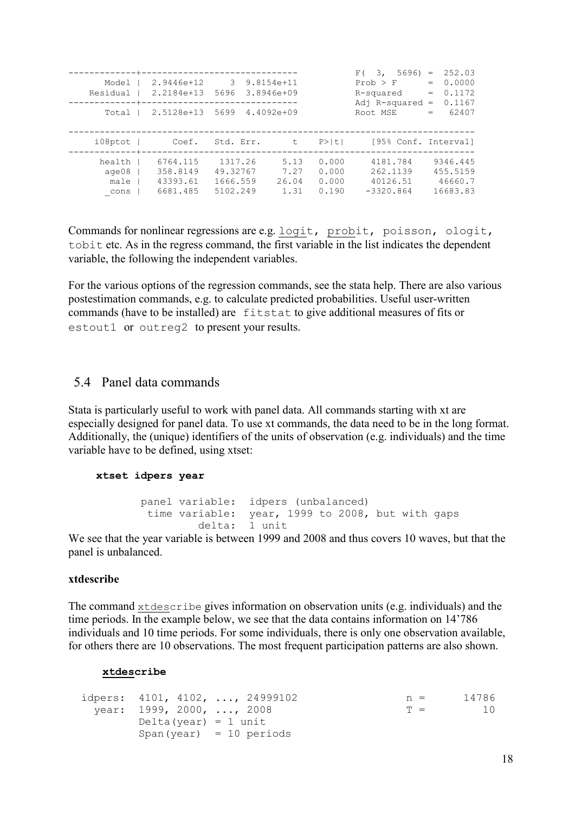| Model  <br>Residual  <br>Total  | 2.9446e+12 3<br>2.2184e+13<br>2.5128e+13     | 5696<br>5699                                | $9.8154e + 11$<br>$3.8946e+09$<br>4.4092e+09 |                                  | F(3, 5696)<br>Prob > F<br>R-squared<br>Adj R-squared<br>Root MSE | 252.03<br>$=$<br>0.0000<br>$=$<br>0.1172<br>$=$<br>0.1167<br>$=$<br>62407<br>$=$ |
|---------------------------------|----------------------------------------------|---------------------------------------------|----------------------------------------------|----------------------------------|------------------------------------------------------------------|----------------------------------------------------------------------------------|
| $i08$ ptot                      | Coef.                                        | Std. Err.                                   | t                                            | $P>$  t                          | [95% Conf. Interval]                                             |                                                                                  |
| health<br>aqe08<br>male<br>cons | 6764.115<br>358.8149<br>43393.61<br>6681.485 | 1317.26<br>49.32767<br>1666.559<br>5102.249 | 5.13<br>7.27<br>26.04<br>1.31                | 0.000<br>0.000<br>0.000<br>0.190 | 4181.784<br>262.1139<br>40126.51<br>$-3320.864$                  | 9346.445<br>455.5159<br>46660.7<br>16683.83                                      |

Commands for nonlinear regressions are e.g. logit, probit, poisson, ologit, tobit etc. As in the regress command, the first variable in the list indicates the dependent variable, the following the independent variables.

For the various options of the regression commands, see the stata help. There are also various postestimation commands, e.g. to calculate predicted probabilities. Useful user-written commands (have to be installed) are fitstat to give additional measures of fits or estout1 or outreg2 to present your results.

## <span id="page-17-0"></span>5.4 Panel data commands

Stata is particularly useful to work with panel data. All commands starting with xt are especially designed for panel data. To use xt commands, the data need to be in the long format. Additionally, the (unique) identifiers of the units of observation (e.g. individuals) and the time variable have to be defined, using xtset:

#### **xtset idpers year**

```
panel variable: idpers (unbalanced)<br>time variable: year, 1999 to 2008,
                          year, 1999 to 2008, but with gaps 1 unitdelta:
```
We see that the year variable is between 1999 and 2008 and thus covers 10 waves, but that the panel is unbalanced.

#### **xtdescribe**

The command xtdescribe gives information on observation units (e.g. individuals) and the time periods. In the example below, we see that the data contains information on 14'786 individuals and 10 time periods. For some individuals, there is only one observation available, for others there are 10 observations. The most frequent participation patterns are also shown.

#### **xtdescribe**

```
idpers: 4101, 4102, ..., 24999102 n = 14786
 year: 1999, 2000, ..., 2008 T = 10
      Delta(year) = 1 unit
      Span(year) = 10 periods
```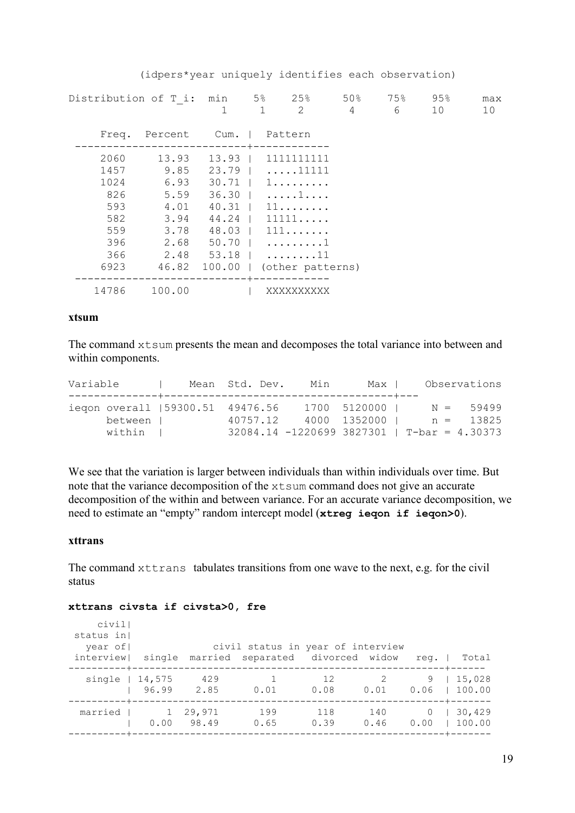(idpers\*year uniquely identifies each observation)

|                                                                | Distribution of T i: min 5% 25% 50% 75%                                                    | 1                                                                                            | $\mathbf{1}$ | $\overline{2}$                                                                                               | 4 | 6 | 95%<br>10 | max<br>10 |
|----------------------------------------------------------------|--------------------------------------------------------------------------------------------|----------------------------------------------------------------------------------------------|--------------|--------------------------------------------------------------------------------------------------------------|---|---|-----------|-----------|
| Freq.                                                          | Percent                                                                                    | Cum.   Pattern                                                                               |              |                                                                                                              |   |   |           |           |
| 2060<br>1457<br>1024<br>826<br>593<br>582<br>559<br>396<br>366 | 13.93<br>9.85<br>6.93<br>5.59<br>4.01<br>3.94<br>3.78<br>2.68<br>2.48<br>6923 46.82 100.00 | $13.93$  <br>$23.79$  <br>$30.71$  <br>$36.30$  <br>$40.31$  <br>44.24  <br>48.03  <br>50.70 |              | 1111111111<br>$\ldots$ . 11111<br>1.<br>. 1<br>11<br>11111<br>111<br>. 1<br>$53.18$   11<br>(other patterns) |   |   |           |           |
| 14786                                                          | 100.00                                                                                     |                                                                                              |              | XXXXXXXXXX                                                                                                   |   |   |           |           |

#### **xtsum**

The command xtsum presents the mean and decomposes the total variance into between and within components.

| Variable                                                | Mean Std. Dev. | Min | Max I                          | Observations                                                                   |  |
|---------------------------------------------------------|----------------|-----|--------------------------------|--------------------------------------------------------------------------------|--|
| iegon overall (59300.51 49476.56<br>between  <br>within | 40757.12       |     | 1700 5120000  <br>4000 1352000 | $N = 59499$<br>$n = 13825$<br>$32084.14 - 1220699$ $3827301$   T-bar = 4.30373 |  |

We see that the variation is larger between individuals than within individuals over time. But note that the variance decomposition of the xtsum command does not give an accurate decomposition of the within and between variance. For an accurate variance decomposition, we need to estimate an "empty" random intercept model (**xtreg ieqon if ieqon>0**).

#### **xttrans**

The command xttrans tabulates transitions from one wave to the next, e.g. for the civil status

#### **xttrans civsta if civsta>0, fre**

| civil<br>status in<br>year of<br>interviewl |                        |                 | civil status in year of interview<br>single married separated divorced widow |             |                        | req.             | Total            |
|---------------------------------------------|------------------------|-----------------|------------------------------------------------------------------------------|-------------|------------------------|------------------|------------------|
| single $ 14,575$                            | 96.99                  | 429<br>2.85     | 0.01                                                                         | 12<br>0.08  | $\overline{2}$<br>0.01 | 9<br>0.06        | 15,028<br>100.00 |
| married                                     | $\overline{1}$<br>0.00 | 29,971<br>98.49 | 199<br>0.65                                                                  | 118<br>0.39 | 140<br>0.46            | $\Omega$<br>0.00 | 30,429<br>100.00 |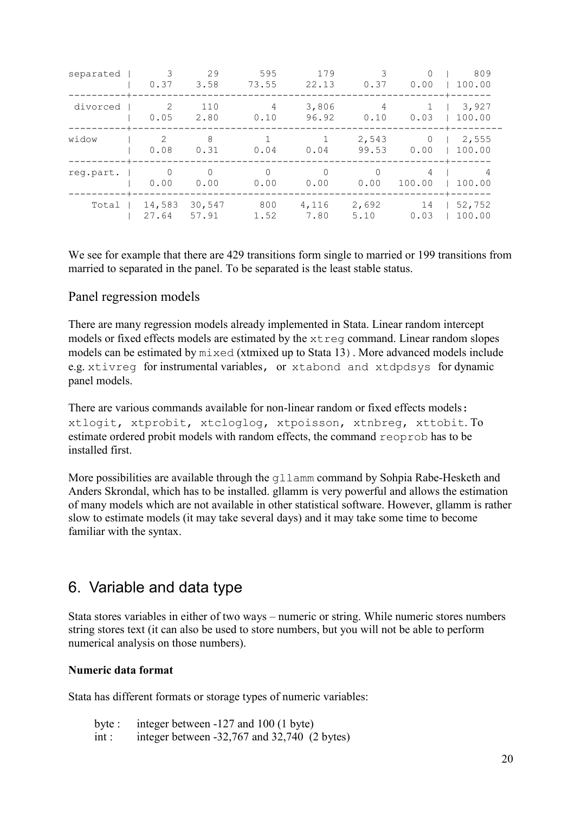| separated | 3<br>0.37              | 29<br>3.58       | 595<br>73.55           | 179<br>22.13     | Κ<br>0.37              | $\Omega$<br>0.00 | 809<br>100.00    |
|-----------|------------------------|------------------|------------------------|------------------|------------------------|------------------|------------------|
| divorced  | $\mathcal{L}$<br>0.05  | 110<br>2.80      | $\overline{4}$<br>0.10 | 3,806<br>96.92   | $\overline{4}$<br>0.10 | 0.03             | 3,927<br>100.00  |
| widow     | $\mathfrak{D}$<br>0.08 | 8<br>0.31        | 0.04                   | 0.04             | 2,543<br>99.53         | $\Omega$<br>0.00 | 2,555<br>100.00  |
| req.part. | 0.00                   | $\Omega$<br>0.00 | $\Omega$<br>0.00       | $\Omega$<br>0.00 | 0.00                   | 4<br>100.00      | 100.00           |
| Total     | 14,583<br>27.64        | 30,547<br>57.91  | 800<br>1.52            | 4,116<br>7.80    | 2,692<br>5.10          | 14<br>0.03       | 52,752<br>100.00 |

We see for example that there are 429 transitions form single to married or 199 transitions from married to separated in the panel. To be separated is the least stable status.

## Panel regression models

There are many regression models already implemented in Stata. Linear random intercept models or fixed effects models are estimated by the xtreg command. Linear random slopes models can be estimated by mixed (xtmixed up to Stata 13). More advanced models include e.g. xtivreg for instrumental variables, or xtabond and xtdpdsys for dynamic panel models.

There are various commands available for non-linear random or fixed effects models: xtlogit, xtprobit, xtcloglog, xtpoisson, xtnbreg, xttobit. To estimate ordered probit models with random effects, the command reoprob has to be installed first.

More possibilities are available through the q11amm command by Sohpia Rabe-Hesketh and Anders Skrondal, which has to be installed. gllamm is very powerful and allows the estimation of many models which are not available in other statistical software. However, gllamm is rather slow to estimate models (it may take several days) and it may take some time to become familiar with the syntax.

## <span id="page-19-0"></span>6. Variable and data type

Stata stores variables in either of two ways – numeric or string. While numeric stores numbers string stores text (it can also be used to store numbers, but you will not be able to perform numerical analysis on those numbers).

#### **Numeric data format**

Stata has different formats or storage types of numeric variables:

| byte: | integer between $-127$ and 100 (1 byte)          |
|-------|--------------------------------------------------|
| int : | integer between $-32,767$ and $32,740$ (2 bytes) |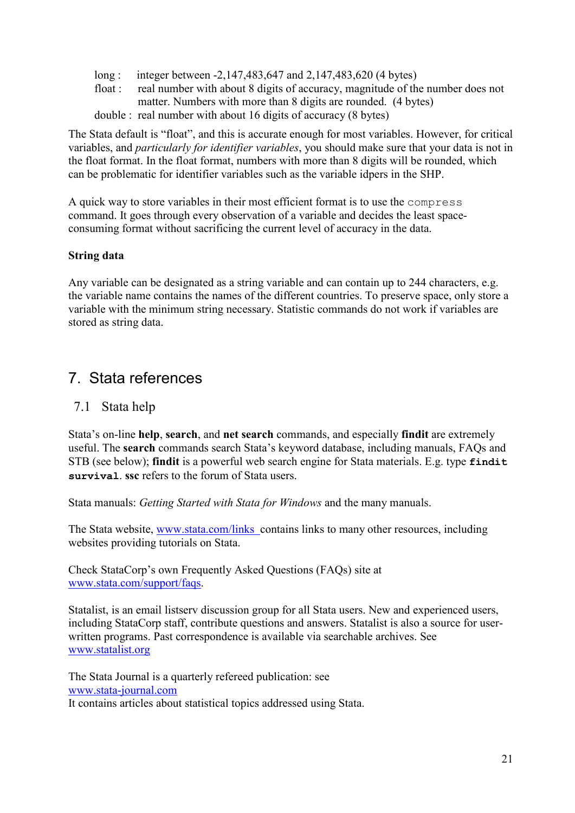- long : integer between -2,147,483,647 and 2,147,483,620 (4 bytes)
- float : real number with about 8 digits of accuracy, magnitude of the number does not matter. Numbers with more than 8 digits are rounded. (4 bytes) double : real number with about 16 digits of accuracy (8 bytes)

The Stata default is "float", and this is accurate enough for most variables. However, for critical variables, and *particularly for identifier variables*, you should make sure that your data is not in the float format. In the float format, numbers with more than 8 digits will be rounded, which can be problematic for identifier variables such as the variable idpers in the SHP.

A quick way to store variables in their most efficient format is to use the compress command. It goes through every observation of a variable and decides the least spaceconsuming format without sacrificing the current level of accuracy in the data.

## **String data**

Any variable can be designated as a string variable and can contain up to 244 characters, e.g. the variable name contains the names of the different countries. To preserve space, only store a variable with the minimum string necessary. Statistic commands do not work if variables are stored as string data.

## <span id="page-20-0"></span>7. Stata references

## <span id="page-20-1"></span>7.1 Stata help

Stata's on-line **help**, **search**, and **net search** commands, and especially **findit** are extremely useful. The **search** commands search Stata's keyword database, including manuals, FAQs and STB (see below); **findit** is a powerful web search engine for Stata materials. E.g. type **findit survival**. **ssc** refers to the forum of Stata users.

Stata manuals: *Getting Started with Stata for Windows* and the many manuals.

The Stata website, [www.stata.com/links](http://www.stata.com/links) contains links to many other resources, including websites providing tutorials on Stata.

Check StataCorp's own Frequently Asked Questions (FAQs) site at www.stata.com/support/faqs.

Statalist, is an email listserv discussion group for all Stata users. New and experienced users, including StataCorp staff, contribute questions and answers. Statalist is also a source for userwritten programs. Past correspondence is available via searchable archives. See www.statalist.org

The Stata Journal is a quarterly refereed publication: see [www.stata-journal.com](http://www.stata-journal.com/) It contains articles about statistical topics addressed using Stata.